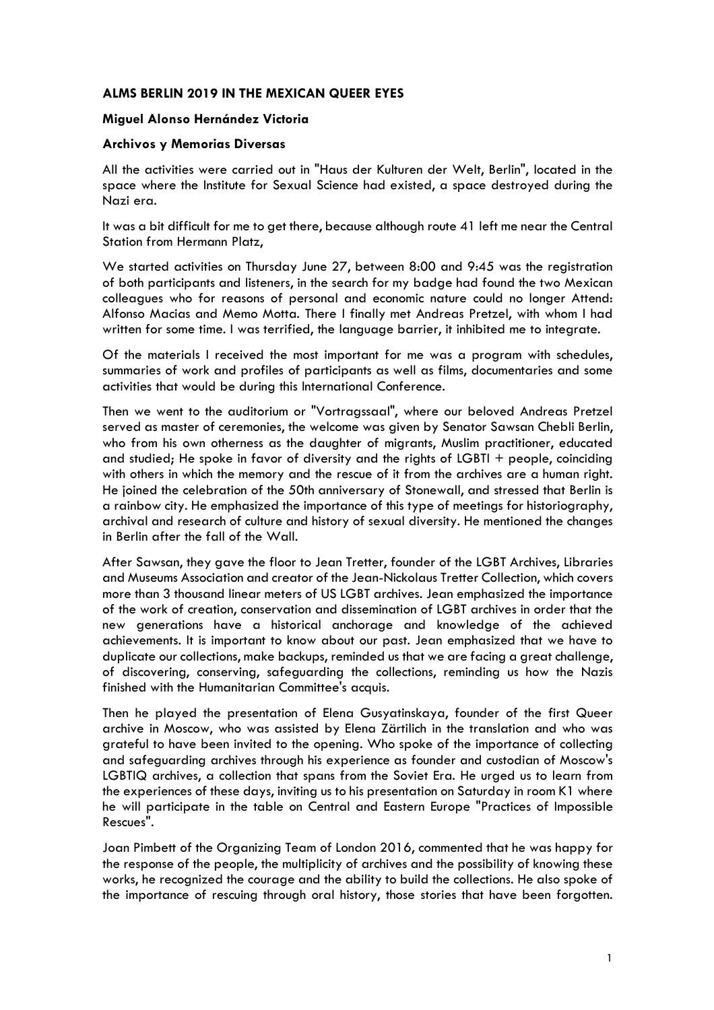## **ALMS BERLIN 2019 IN THE MEXICAN QUEER EYES**

#### **Miguel Alonso Hernández Victoria**

#### **Archivos y Memorias Diversas**

All the activities were carried out in "Haus der Kulturen der Welt, Berlin", located in the space where the Institute for Sexual Science had existed, a space destroyed during the Nazi era.

It was a bit difficult for me to get there, because although route 41 left me near the Central Station from Hermann Platz,

We started activities on Thursday June 27, between 8:00 and 9:45 was the registration of both participants and listeners, in the search for my badge had found the two Mexican colleagues who for reasons of personal and economic nature could no longer Attend: Alfonso Macias and Memo Motta. There I finally met Andreas Pretzel, with whom I had written for some time. I was terrified, the language barrier, it inhibited me to integrate.

Of the materials I received the most important for me was a program with schedules, summaries of work and profiles of participants as well as films, documentaries and some activities that would be during this International Conference.

Then we went to the auditorium or "Vortragssaal", where our beloved Andreas Pretzel served as master of ceremonies, the welcome was given by Senator Sawsan Chebli Berlin, who from his own otherness as the daughter of migrants, Muslim practitioner, educated and studied; He spoke in favor of diversity and the rights of LGBTI + people, coinciding with others in which the memory and the rescue of it from the archives are a human right. He joined the celebration of the 50th anniversary of Stonewall, and stressed that Berlin is a rainbow city. He emphasized the importance of this type of meetings for historiography, archival and research of culture and history of sexual diversity. He mentioned the changes in Berlin after the fall of the Wall.

After Sawsan, they gave the floor to Jean Tretter, founder of the LGBT Archives, Libraries and Museums Association and creator of the Jean-Nickolaus Tretter Collection, which covers more than 3 thousand linear meters of US LGBT archives. Jean emphasized the importance of the work of creation, conservation and dissemination of LGBT archives in order that the new generations have a historical anchorage and knowledge of the achieved achievements. It is important to know about our past. Jean emphasized that we have to duplicate our collections, make backups, reminded us that we are facing a great challenge, of discovering, conserving, safeguarding the collections, reminding us how the Nazis finished with the Humanitarian Committee's acquis.

Then he played the presentation of Elena Gusyatinskaya, founder of the first Queer archive in Moscow, who was assisted by Elena Zärtilich in the translation and who was grateful to have been invited to the opening. Who spoke of the importance of collecting and safeguarding archives through his experience as founder and custodian of Moscow's LGBTIQ archives, a collection that spans from the Soviet Era. He urged us to learn from the experiences of these days, inviting us to his presentation on Saturday in room K1 where he will participate in the table on Central and Eastern Europe "Practices of Impossible Rescues".

Joan Pimbett of the Organizing Team of London 2016, commented that he was happy for the response of the people, the multiplicity of archives and the possibility of knowing these works, he recognized the courage and the ability to build the collections. He also spoke of the importance of rescuing through oral history, those stories that have been forgotten.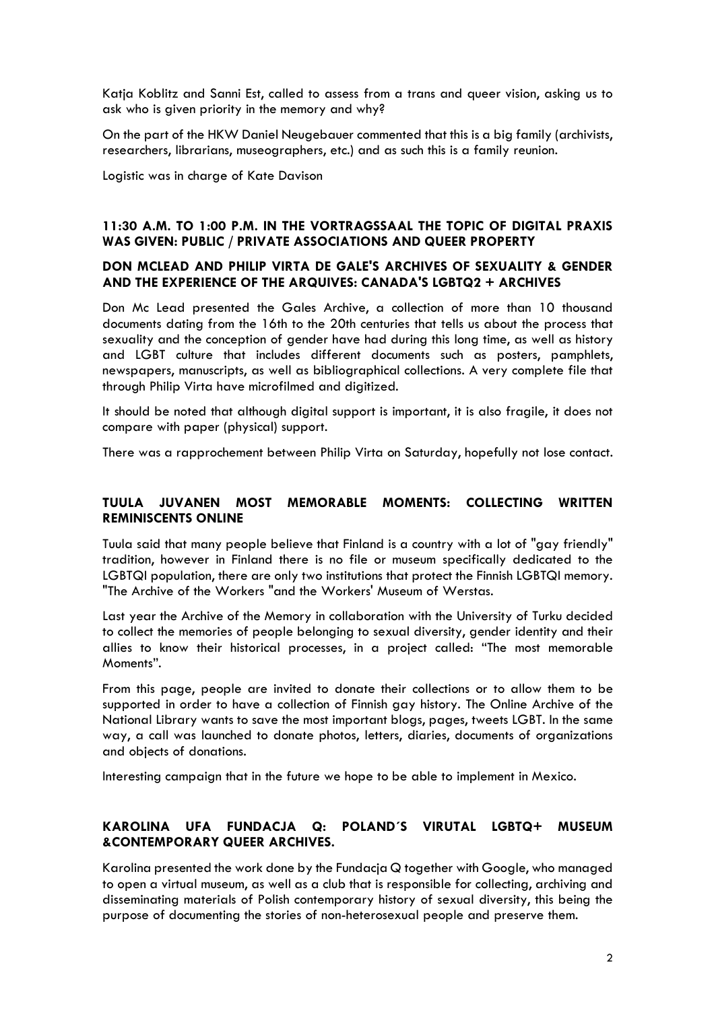Katja Koblitz and Sanni Est, called to assess from a trans and queer vision, asking us to ask who is given priority in the memory and why?

On the part of the HKW Daniel Neugebauer commented that this is a big family (archivists, researchers, librarians, museographers, etc.) and as such this is a family reunion.

Logistic was in charge of Kate Davison

# **11:30 A.M. TO 1:00 P.M. IN THE VORTRAGSSAAL THE TOPIC OF DIGITAL PRAXIS WAS GIVEN: PUBLIC / PRIVATE ASSOCIATIONS AND QUEER PROPERTY**

### **DON MCLEAD AND PHILIP VIRTA DE GALE'S ARCHIVES OF SEXUALITY & GENDER AND THE EXPERIENCE OF THE ARQUIVES: CANADA'S LGBTQ2 + ARCHIVES**

Don Mc Lead presented the Gales Archive, a collection of more than 10 thousand documents dating from the 16th to the 20th centuries that tells us about the process that sexuality and the conception of gender have had during this long time, as well as history and LGBT culture that includes different documents such as posters, pamphlets, newspapers, manuscripts, as well as bibliographical collections. A very complete file that through Philip Virta have microfilmed and digitized.

It should be noted that although digital support is important, it is also fragile, it does not compare with paper (physical) support.

There was a rapprochement between Philip Virta on Saturday, hopefully not lose contact.

## **TUULA JUVANEN MOST MEMORABLE MOMENTS: COLLECTING WRITTEN REMINISCENTS ONLINE**

Tuula said that many people believe that Finland is a country with a lot of "gay friendly" tradition, however in Finland there is no file or museum specifically dedicated to the LGBTQI population, there are only two institutions that protect the Finnish LGBTQI memory. "The Archive of the Workers "and the Workers' Museum of Werstas.

Last year the Archive of the Memory in collaboration with the University of Turku decided to collect the memories of people belonging to sexual diversity, gender identity and their allies to know their historical processes, in a project called: "The most memorable Moments".

From this page, people are invited to donate their collections or to allow them to be supported in order to have a collection of Finnish gay history. The Online Archive of the National Library wants to save the most important blogs, pages, tweets LGBT. In the same way, a call was launched to donate photos, letters, diaries, documents of organizations and objects of donations.

Interesting campaign that in the future we hope to be able to implement in Mexico.

# **KAROLINA UFA FUNDACJA Q: POLAND´S VIRUTAL LGBTQ+ MUSEUM &CONTEMPORARY QUEER ARCHIVES.**

Karolina presented the work done by the Fundacja Q together with Google, who managed to open a virtual museum, as well as a club that is responsible for collecting, archiving and disseminating materials of Polish contemporary history of sexual diversity, this being the purpose of documenting the stories of non-heterosexual people and preserve them.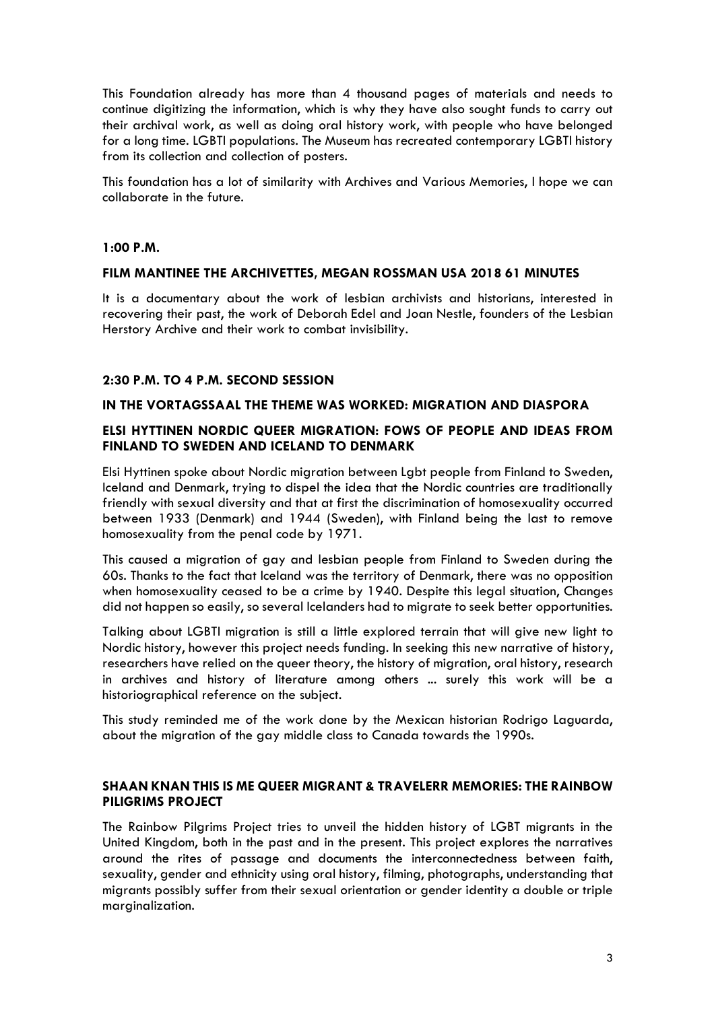This Foundation already has more than 4 thousand pages of materials and needs to continue digitizing the information, which is why they have also sought funds to carry out their archival work, as well as doing oral history work, with people who have belonged for a long time. LGBTI populations. The Museum has recreated contemporary LGBTI history from its collection and collection of posters.

This foundation has a lot of similarity with Archives and Various Memories, I hope we can collaborate in the future.

### **1:00 P.M.**

## **FILM MANTINEE THE ARCHIVETTES, MEGAN ROSSMAN USA 2018 61 MINUTES**

It is a documentary about the work of lesbian archivists and historians, interested in recovering their past, the work of Deborah Edel and Joan Nestle, founders of the Lesbian Herstory Archive and their work to combat invisibility.

## **2:30 P.M. TO 4 P.M. SECOND SESSION**

## **IN THE VORTAGSSAAL THE THEME WAS WORKED: MIGRATION AND DIASPORA**

## **ELSI HYTTINEN NORDIC QUEER MIGRATION: FOWS OF PEOPLE AND IDEAS FROM FINLAND TO SWEDEN AND ICELAND TO DENMARK**

Elsi Hyttinen spoke about Nordic migration between Lgbt people from Finland to Sweden, Iceland and Denmark, trying to dispel the idea that the Nordic countries are traditionally friendly with sexual diversity and that at first the discrimination of homosexuality occurred between 1933 (Denmark) and 1944 (Sweden), with Finland being the last to remove homosexuality from the penal code by 1971.

This caused a migration of gay and lesbian people from Finland to Sweden during the 60s. Thanks to the fact that Iceland was the territory of Denmark, there was no opposition when homosexuality ceased to be a crime by 1940. Despite this legal situation, Changes did not happen so easily, so several Icelanders had to migrate to seek better opportunities.

Talking about LGBTI migration is still a little explored terrain that will give new light to Nordic history, however this project needs funding. In seeking this new narrative of history, researchers have relied on the queer theory, the history of migration, oral history, research in archives and history of literature among others ... surely this work will be a historiographical reference on the subject.

This study reminded me of the work done by the Mexican historian Rodrigo Laguarda, about the migration of the gay middle class to Canada towards the 1990s.

## **SHAAN KNAN THIS IS ME QUEER MIGRANT & TRAVELERR MEMORIES: THE RAINBOW PILIGRIMS PROJECT**

The Rainbow Pilgrims Project tries to unveil the hidden history of LGBT migrants in the United Kingdom, both in the past and in the present. This project explores the narratives around the rites of passage and documents the interconnectedness between faith, sexuality, gender and ethnicity using oral history, filming, photographs, understanding that migrants possibly suffer from their sexual orientation or gender identity a double or triple marginalization.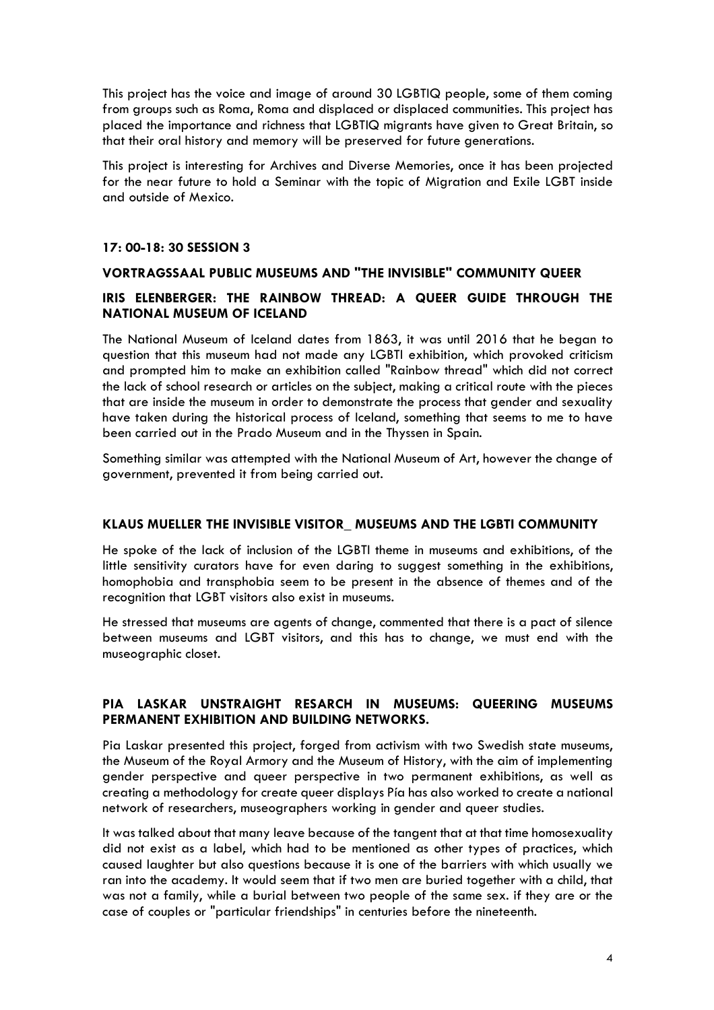This project has the voice and image of around 30 LGBTIQ people, some of them coming from groups such as Roma, Roma and displaced or displaced communities. This project has placed the importance and richness that LGBTIQ migrants have given to Great Britain, so that their oral history and memory will be preserved for future generations.

This project is interesting for Archives and Diverse Memories, once it has been projected for the near future to hold a Seminar with the topic of Migration and Exile LGBT inside and outside of Mexico.

### **17: 00-18: 30 SESSION 3**

# **VORTRAGSSAAL PUBLIC MUSEUMS AND "THE INVISIBLE" COMMUNITY QUEER**

# **IRIS ELENBERGER: THE RAINBOW THREAD: A QUEER GUIDE THROUGH THE NATIONAL MUSEUM OF ICELAND**

The National Museum of Iceland dates from 1863, it was until 2016 that he began to question that this museum had not made any LGBTI exhibition, which provoked criticism and prompted him to make an exhibition called "Rainbow thread" which did not correct the lack of school research or articles on the subject, making a critical route with the pieces that are inside the museum in order to demonstrate the process that gender and sexuality have taken during the historical process of Iceland, something that seems to me to have been carried out in the Prado Museum and in the Thyssen in Spain.

Something similar was attempted with the National Museum of Art, however the change of government, prevented it from being carried out.

### **KLAUS MUELLER THE INVISIBLE VISITOR\_ MUSEUMS AND THE LGBTI COMMUNITY**

He spoke of the lack of inclusion of the LGBTI theme in museums and exhibitions, of the little sensitivity curators have for even daring to suggest something in the exhibitions, homophobia and transphobia seem to be present in the absence of themes and of the recognition that LGBT visitors also exist in museums.

He stressed that museums are agents of change, commented that there is a pact of silence between museums and LGBT visitors, and this has to change, we must end with the museographic closet.

# **PIA LASKAR UNSTRAIGHT RESARCH IN MUSEUMS: QUEERING MUSEUMS PERMANENT EXHIBITION AND BUILDING NETWORKS.**

Pia Laskar presented this project, forged from activism with two Swedish state museums, the Museum of the Royal Armory and the Museum of History, with the aim of implementing gender perspective and queer perspective in two permanent exhibitions, as well as creating a methodology for create queer displays Pía has also worked to create a national network of researchers, museographers working in gender and queer studies.

It was talked about that many leave because of the tangent that at that time homosexuality did not exist as a label, which had to be mentioned as other types of practices, which caused laughter but also questions because it is one of the barriers with which usually we ran into the academy. It would seem that if two men are buried together with a child, that was not a family, while a burial between two people of the same sex. if they are or the case of couples or "particular friendships" in centuries before the nineteenth.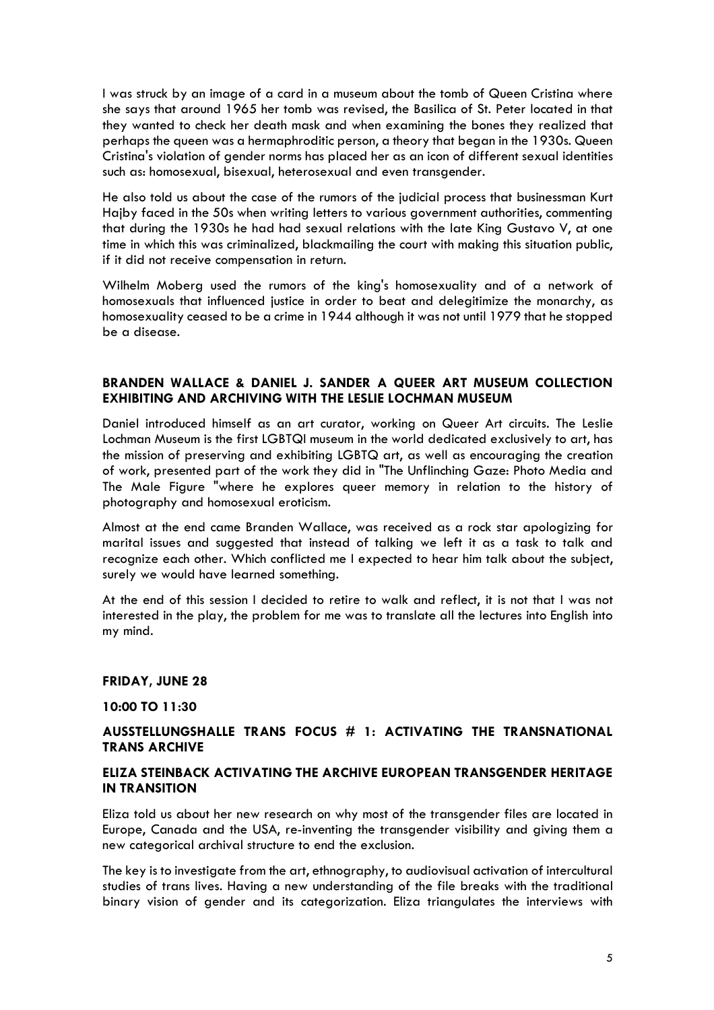I was struck by an image of a card in a museum about the tomb of Queen Cristina where she says that around 1965 her tomb was revised, the Basilica of St. Peter located in that they wanted to check her death mask and when examining the bones they realized that perhaps the queen was a hermaphroditic person, a theory that began in the 1930s. Queen Cristina's violation of gender norms has placed her as an icon of different sexual identities such as: homosexual, bisexual, heterosexual and even transgender.

He also told us about the case of the rumors of the judicial process that businessman Kurt Hajby faced in the 50s when writing letters to various government authorities, commenting that during the 1930s he had had sexual relations with the late King Gustavo V, at one time in which this was criminalized, blackmailing the court with making this situation public, if it did not receive compensation in return.

Wilhelm Moberg used the rumors of the king's homosexuality and of a network of homosexuals that influenced justice in order to beat and delegitimize the monarchy, as homosexuality ceased to be a crime in 1944 although it was not until 1979 that he stopped be a disease.

# **BRANDEN WALLACE & DANIEL J. SANDER A QUEER ART MUSEUM COLLECTION EXHIBITING AND ARCHIVING WITH THE LESLIE LOCHMAN MUSEUM**

Daniel introduced himself as an art curator, working on Queer Art circuits. The Leslie Lochman Museum is the first LGBTQI museum in the world dedicated exclusively to art, has the mission of preserving and exhibiting LGBTQ art, as well as encouraging the creation of work, presented part of the work they did in "The Unflinching Gaze: Photo Media and The Male Figure "where he explores queer memory in relation to the history of photography and homosexual eroticism.

Almost at the end came Branden Wallace, was received as a rock star apologizing for marital issues and suggested that instead of talking we left it as a task to talk and recognize each other. Which conflicted me I expected to hear him talk about the subject, surely we would have learned something.

At the end of this session I decided to retire to walk and reflect, it is not that I was not interested in the play, the problem for me was to translate all the lectures into English into my mind.

### **FRIDAY, JUNE 28**

### **10:00 TO 11:30**

# **AUSSTELLUNGSHALLE TRANS FOCUS # 1: ACTIVATING THE TRANSNATIONAL TRANS ARCHIVE**

## **ELIZA STEINBACK ACTIVATING THE ARCHIVE EUROPEAN TRANSGENDER HERITAGE IN TRANSITION**

Eliza told us about her new research on why most of the transgender files are located in Europe, Canada and the USA, re-inventing the transgender visibility and giving them a new categorical archival structure to end the exclusion.

The key is to investigate from the art, ethnography, to audiovisual activation of intercultural studies of trans lives. Having a new understanding of the file breaks with the traditional binary vision of gender and its categorization. Eliza triangulates the interviews with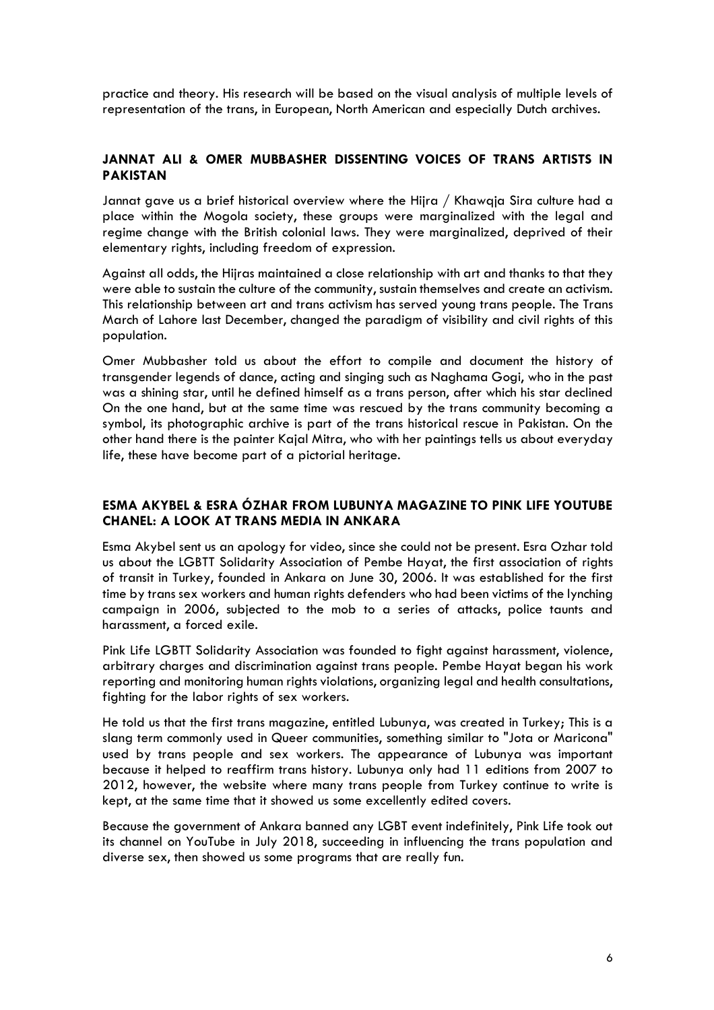practice and theory. His research will be based on the visual analysis of multiple levels of representation of the trans, in European, North American and especially Dutch archives.

# **JANNAT ALI & OMER MUBBASHER DISSENTING VOICES OF TRANS ARTISTS IN PAKISTAN**

Jannat gave us a brief historical overview where the Hijra / Khawqja Sira culture had a place within the Mogola society, these groups were marginalized with the legal and regime change with the British colonial laws. They were marginalized, deprived of their elementary rights, including freedom of expression.

Against all odds, the Hijras maintained a close relationship with art and thanks to that they were able to sustain the culture of the community, sustain themselves and create an activism. This relationship between art and trans activism has served young trans people. The Trans March of Lahore last December, changed the paradigm of visibility and civil rights of this population.

Omer Mubbasher told us about the effort to compile and document the history of transgender legends of dance, acting and singing such as Naghama Gogi, who in the past was a shining star, until he defined himself as a trans person, after which his star declined On the one hand, but at the same time was rescued by the trans community becoming a symbol, its photographic archive is part of the trans historical rescue in Pakistan. On the other hand there is the painter Kajal Mitra, who with her paintings tells us about everyday life, these have become part of a pictorial heritage.

## **ESMA AKYBEL & ESRA ÓZHAR FROM LUBUNYA MAGAZINE TO PINK LIFE YOUTUBE CHANEL: A LOOK AT TRANS MEDIA IN ANKARA**

Esma Akybel sent us an apology for video, since she could not be present. Esra Ozhar told us about the LGBTT Solidarity Association of Pembe Hayat, the first association of rights of transit in Turkey, founded in Ankara on June 30, 2006. It was established for the first time by trans sex workers and human rights defenders who had been victims of the lynching campaign in 2006, subjected to the mob to a series of attacks, police taunts and harassment, a forced exile.

Pink Life LGBTT Solidarity Association was founded to fight against harassment, violence, arbitrary charges and discrimination against trans people. Pembe Hayat began his work reporting and monitoring human rights violations, organizing legal and health consultations, fighting for the labor rights of sex workers.

He told us that the first trans magazine, entitled Lubunya, was created in Turkey; This is a slang term commonly used in Queer communities, something similar to "Jota or Maricona" used by trans people and sex workers. The appearance of Lubunya was important because it helped to reaffirm trans history. Lubunya only had 11 editions from 2007 to 2012, however, the website where many trans people from Turkey continue to write is kept, at the same time that it showed us some excellently edited covers.

Because the government of Ankara banned any LGBT event indefinitely, Pink Life took out its channel on YouTube in July 2018, succeeding in influencing the trans population and diverse sex, then showed us some programs that are really fun.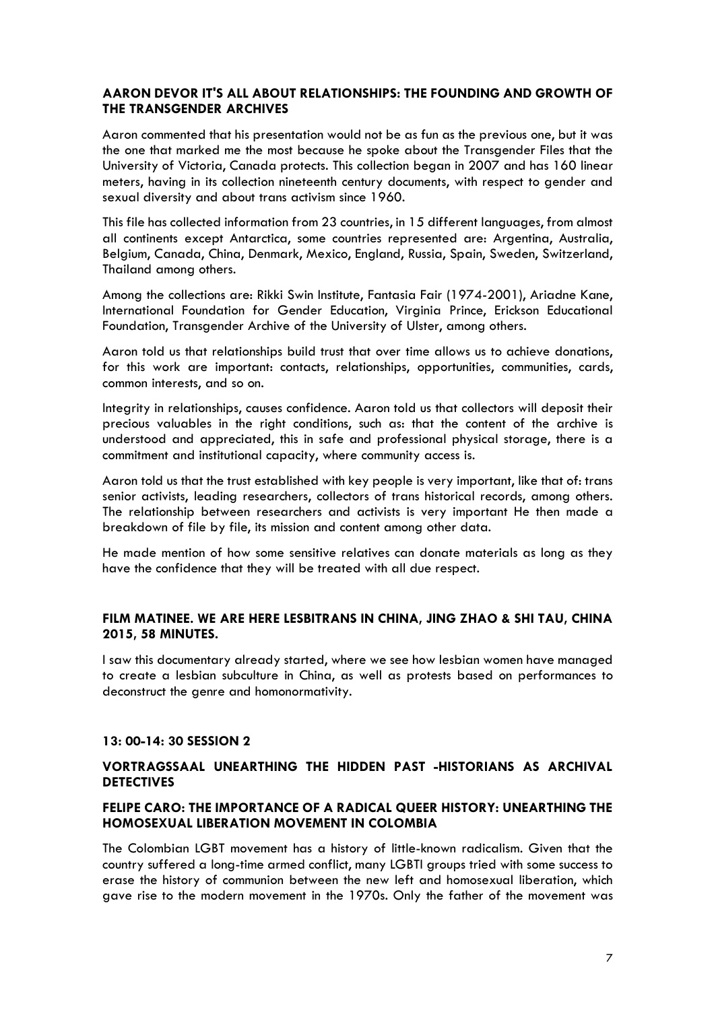## **AARON DEVOR IT'S ALL ABOUT RELATIONSHIPS: THE FOUNDING AND GROWTH OF THE TRANSGENDER ARCHIVES**

Aaron commented that his presentation would not be as fun as the previous one, but it was the one that marked me the most because he spoke about the Transgender Files that the University of Victoria, Canada protects. This collection began in 2007 and has 160 linear meters, having in its collection nineteenth century documents, with respect to gender and sexual diversity and about trans activism since 1960.

This file has collected information from 23 countries, in 15 different languages, from almost all continents except Antarctica, some countries represented are: Argentina, Australia, Belgium, Canada, China, Denmark, Mexico, England, Russia, Spain, Sweden, Switzerland, Thailand among others.

Among the collections are: Rikki Swin Institute, Fantasia Fair (1974-2001), Ariadne Kane, International Foundation for Gender Education, Virginia Prince, Erickson Educational Foundation, Transgender Archive of the University of Ulster, among others.

Aaron told us that relationships build trust that over time allows us to achieve donations, for this work are important: contacts, relationships, opportunities, communities, cards, common interests, and so on.

Integrity in relationships, causes confidence. Aaron told us that collectors will deposit their precious valuables in the right conditions, such as: that the content of the archive is understood and appreciated, this in safe and professional physical storage, there is a commitment and institutional capacity, where community access is.

Aaron told us that the trust established with key people is very important, like that of: trans senior activists, leading researchers, collectors of trans historical records, among others. The relationship between researchers and activists is very important He then made a breakdown of file by file, its mission and content among other data.

He made mention of how some sensitive relatives can donate materials as long as they have the confidence that they will be treated with all due respect.

# **FILM MATINEE. WE ARE HERE LESBITRANS IN CHINA, JING ZHAO & SHI TAU, CHINA 2015, 58 MINUTES.**

I saw this documentary already started, where we see how lesbian women have managed to create a lesbian subculture in China, as well as protests based on performances to deconstruct the genre and homonormativity.

### **13: 00-14: 30 SESSION 2**

# **VORTRAGSSAAL UNEARTHING THE HIDDEN PAST -HISTORIANS AS ARCHIVAL DETECTIVES**

# **FELIPE CARO: THE IMPORTANCE OF A RADICAL QUEER HISTORY: UNEARTHING THE HOMOSEXUAL LIBERATION MOVEMENT IN COLOMBIA**

The Colombian LGBT movement has a history of little-known radicalism. Given that the country suffered a long-time armed conflict, many LGBTI groups tried with some success to erase the history of communion between the new left and homosexual liberation, which gave rise to the modern movement in the 1970s. Only the father of the movement was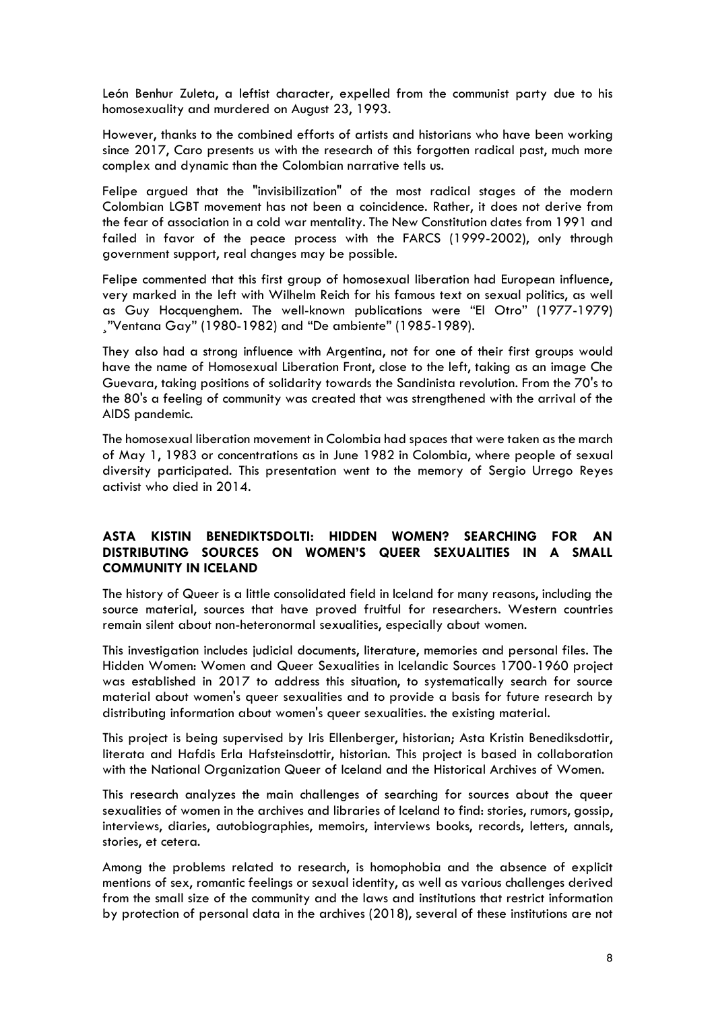León Benhur Zuleta, a leftist character, expelled from the communist party due to his homosexuality and murdered on August 23, 1993.

However, thanks to the combined efforts of artists and historians who have been working since 2017, Caro presents us with the research of this forgotten radical past, much more complex and dynamic than the Colombian narrative tells us.

Felipe argued that the "invisibilization" of the most radical stages of the modern Colombian LGBT movement has not been a coincidence. Rather, it does not derive from the fear of association in a cold war mentality. The New Constitution dates from 1991 and failed in favor of the peace process with the FARCS (1999-2002), only through government support, real changes may be possible.

Felipe commented that this first group of homosexual liberation had European influence, very marked in the left with Wilhelm Reich for his famous text on sexual politics, as well as Guy Hocquenghem. The well-known publications were "El Otro" (1977-1979) ¸"Ventana Gay" (1980-1982) and "De ambiente" (1985-1989).

They also had a strong influence with Argentina, not for one of their first groups would have the name of Homosexual Liberation Front, close to the left, taking as an image Che Guevara, taking positions of solidarity towards the Sandinista revolution. From the 70's to the 80's a feeling of community was created that was strengthened with the arrival of the AIDS pandemic.

The homosexual liberation movement in Colombia had spaces that were taken as the march of May 1, 1983 or concentrations as in June 1982 in Colombia, where people of sexual diversity participated. This presentation went to the memory of Sergio Urrego Reyes activist who died in 2014.

# **ASTA KISTIN BENEDIKTSDOLTI: HIDDEN WOMEN? SEARCHING FOR AN DISTRIBUTING SOURCES ON WOMEN'S QUEER SEXUALITIES IN A SMALL COMMUNITY IN ICELAND**

The history of Queer is a little consolidated field in Iceland for many reasons, including the source material, sources that have proved fruitful for researchers. Western countries remain silent about non-heteronormal sexualities, especially about women.

This investigation includes judicial documents, literature, memories and personal files. The Hidden Women: Women and Queer Sexualities in Icelandic Sources 1700-1960 project was established in 2017 to address this situation, to systematically search for source material about women's queer sexualities and to provide a basis for future research by distributing information about women's queer sexualities. the existing material.

This project is being supervised by Iris Ellenberger, historian; Asta Kristin Benediksdottir, literata and Hafdis Erla Hafsteinsdottir, historian. This project is based in collaboration with the National Organization Queer of Iceland and the Historical Archives of Women.

This research analyzes the main challenges of searching for sources about the queer sexualities of women in the archives and libraries of Iceland to find: stories, rumors, gossip, interviews, diaries, autobiographies, memoirs, interviews books, records, letters, annals, stories, et cetera.

Among the problems related to research, is homophobia and the absence of explicit mentions of sex, romantic feelings or sexual identity, as well as various challenges derived from the small size of the community and the laws and institutions that restrict information by protection of personal data in the archives (2018), several of these institutions are not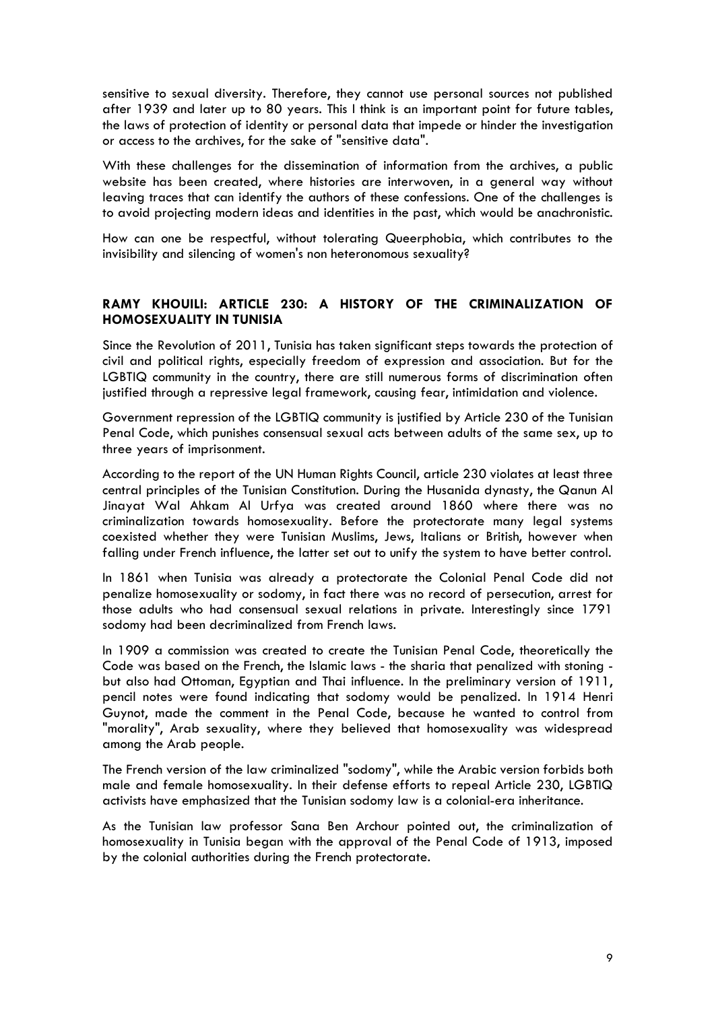sensitive to sexual diversity. Therefore, they cannot use personal sources not published after 1939 and later up to 80 years. This I think is an important point for future tables, the laws of protection of identity or personal data that impede or hinder the investigation or access to the archives, for the sake of "sensitive data".

With these challenges for the dissemination of information from the archives, a public website has been created, where histories are interwoven, in a general way without leaving traces that can identify the authors of these confessions. One of the challenges is to avoid projecting modern ideas and identities in the past, which would be anachronistic.

How can one be respectful, without tolerating Queerphobia, which contributes to the invisibility and silencing of women's non heteronomous sexuality?

# **RAMY KHOUILI: ARTICLE 230: A HISTORY OF THE CRIMINALIZATION OF HOMOSEXUALITY IN TUNISIA**

Since the Revolution of 2011, Tunisia has taken significant steps towards the protection of civil and political rights, especially freedom of expression and association. But for the LGBTIQ community in the country, there are still numerous forms of discrimination often justified through a repressive legal framework, causing fear, intimidation and violence.

Government repression of the LGBTIQ community is justified by Article 230 of the Tunisian Penal Code, which punishes consensual sexual acts between adults of the same sex, up to three years of imprisonment.

According to the report of the UN Human Rights Council, article 230 violates at least three central principles of the Tunisian Constitution. During the Husanida dynasty, the Qanun Al Jinayat Wal Ahkam Al Urfya was created around 1860 where there was no criminalization towards homosexuality. Before the protectorate many legal systems coexisted whether they were Tunisian Muslims, Jews, Italians or British, however when falling under French influence, the latter set out to unify the system to have better control.

In 1861 when Tunisia was already a protectorate the Colonial Penal Code did not penalize homosexuality or sodomy, in fact there was no record of persecution, arrest for those adults who had consensual sexual relations in private. Interestingly since 1791 sodomy had been decriminalized from French laws.

In 1909 a commission was created to create the Tunisian Penal Code, theoretically the Code was based on the French, the Islamic laws - the sharia that penalized with stoning but also had Ottoman, Egyptian and Thai influence. In the preliminary version of 1911, pencil notes were found indicating that sodomy would be penalized. In 1914 Henri Guynot, made the comment in the Penal Code, because he wanted to control from "morality", Arab sexuality, where they believed that homosexuality was widespread among the Arab people.

The French version of the law criminalized "sodomy", while the Arabic version forbids both male and female homosexuality. In their defense efforts to repeal Article 230, LGBTIQ activists have emphasized that the Tunisian sodomy law is a colonial-era inheritance.

As the Tunisian law professor Sana Ben Archour pointed out, the criminalization of homosexuality in Tunisia began with the approval of the Penal Code of 1913, imposed by the colonial authorities during the French protectorate.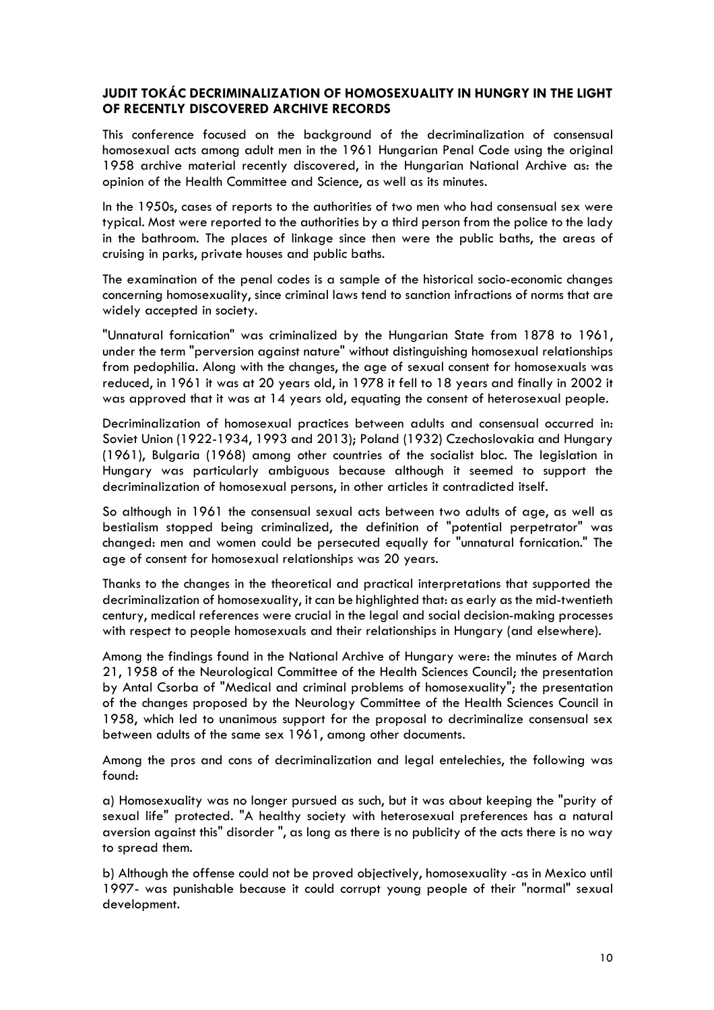## **JUDIT TOKÁC DECRIMINALIZATION OF HOMOSEXUALITY IN HUNGRY IN THE LIGHT OF RECENTLY DISCOVERED ARCHIVE RECORDS**

This conference focused on the background of the decriminalization of consensual homosexual acts among adult men in the 1961 Hungarian Penal Code using the original 1958 archive material recently discovered, in the Hungarian National Archive as: the opinion of the Health Committee and Science, as well as its minutes.

In the 1950s, cases of reports to the authorities of two men who had consensual sex were typical. Most were reported to the authorities by a third person from the police to the lady in the bathroom. The places of linkage since then were the public baths, the areas of cruising in parks, private houses and public baths.

The examination of the penal codes is a sample of the historical socio-economic changes concerning homosexuality, since criminal laws tend to sanction infractions of norms that are widely accepted in society.

"Unnatural fornication" was criminalized by the Hungarian State from 1878 to 1961, under the term "perversion against nature" without distinguishing homosexual relationships from pedophilia. Along with the changes, the age of sexual consent for homosexuals was reduced, in 1961 it was at 20 years old, in 1978 it fell to 18 years and finally in 2002 it was approved that it was at 14 years old, equating the consent of heterosexual people.

Decriminalization of homosexual practices between adults and consensual occurred in: Soviet Union (1922-1934, 1993 and 2013); Poland (1932) Czechoslovakia and Hungary (1961), Bulgaria (1968) among other countries of the socialist bloc. The legislation in Hungary was particularly ambiguous because although it seemed to support the decriminalization of homosexual persons, in other articles it contradicted itself.

So although in 1961 the consensual sexual acts between two adults of age, as well as bestialism stopped being criminalized, the definition of "potential perpetrator" was changed: men and women could be persecuted equally for "unnatural fornication." The age of consent for homosexual relationships was 20 years.

Thanks to the changes in the theoretical and practical interpretations that supported the decriminalization of homosexuality, it can be highlighted that: as early as the mid-twentieth century, medical references were crucial in the legal and social decision-making processes with respect to people homosexuals and their relationships in Hungary (and elsewhere).

Among the findings found in the National Archive of Hungary were: the minutes of March 21, 1958 of the Neurological Committee of the Health Sciences Council; the presentation by Antal Csorba of "Medical and criminal problems of homosexuality"; the presentation of the changes proposed by the Neurology Committee of the Health Sciences Council in 1958, which led to unanimous support for the proposal to decriminalize consensual sex between adults of the same sex 1961, among other documents.

Among the pros and cons of decriminalization and legal entelechies, the following was found:

a) Homosexuality was no longer pursued as such, but it was about keeping the "purity of sexual life" protected. "A healthy society with heterosexual preferences has a natural aversion against this" disorder ", as long as there is no publicity of the acts there is no way to spread them.

b) Although the offense could not be proved objectively, homosexuality -as in Mexico until 1997- was punishable because it could corrupt young people of their "normal" sexual development.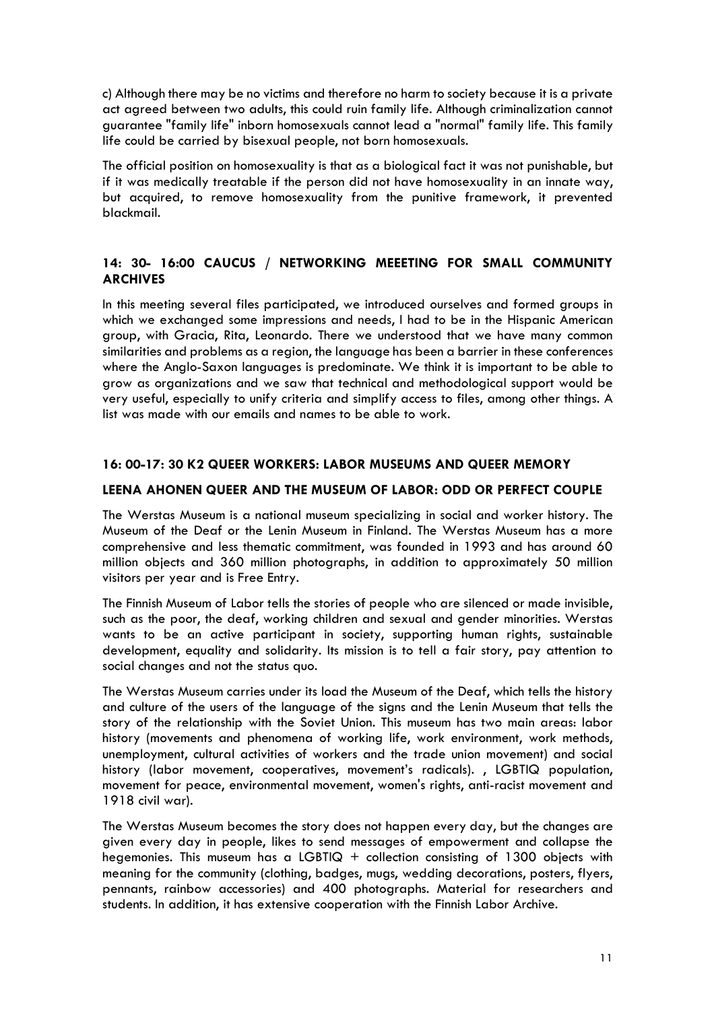c) Although there may be no victims and therefore no harm to society because it is a private act agreed between two adults, this could ruin family life. Although criminalization cannot guarantee "family life" inborn homosexuals cannot lead a "normal" family life. This family life could be carried by bisexual people, not born homosexuals.

The official position on homosexuality is that as a biological fact it was not punishable, but if it was medically treatable if the person did not have homosexuality in an innate way, but acquired, to remove homosexuality from the punitive framework, it prevented blackmail.

# **14: 30- 16:00 CAUCUS / NETWORKING MEEETING FOR SMALL COMMUNITY ARCHIVES**

In this meeting several files participated, we introduced ourselves and formed groups in which we exchanged some impressions and needs, I had to be in the Hispanic American group, with Gracia, Rita, Leonardo. There we understood that we have many common similarities and problems as a region, the language has been a barrier in these conferences where the Anglo-Saxon languages is predominate. We think it is important to be able to grow as organizations and we saw that technical and methodological support would be very useful, especially to unify criteria and simplify access to files, among other things. A list was made with our emails and names to be able to work.

# **16: 00-17: 30 K2 QUEER WORKERS: LABOR MUSEUMS AND QUEER MEMORY**

## **LEENA AHONEN QUEER AND THE MUSEUM OF LABOR: ODD OR PERFECT COUPLE**

The Werstas Museum is a national museum specializing in social and worker history. The Museum of the Deaf or the Lenin Museum in Finland. The Werstas Museum has a more comprehensive and less thematic commitment, was founded in 1993 and has around 60 million objects and 360 million photographs, in addition to approximately 50 million visitors per year and is Free Entry.

The Finnish Museum of Labor tells the stories of people who are silenced or made invisible, such as the poor, the deaf, working children and sexual and gender minorities. Werstas wants to be an active participant in society, supporting human rights, sustainable development, equality and solidarity. Its mission is to tell a fair story, pay attention to social changes and not the status quo.

The Werstas Museum carries under its load the Museum of the Deaf, which tells the history and culture of the users of the language of the signs and the Lenin Museum that tells the story of the relationship with the Soviet Union. This museum has two main areas: labor history (movements and phenomena of working life, work environment, work methods, unemployment, cultural activities of workers and the trade union movement) and social history (labor movement, cooperatives, movement's radicals). , LGBTIQ population, movement for peace, environmental movement, women's rights, anti-racist movement and 1918 civil war).

The Werstas Museum becomes the story does not happen every day, but the changes are given every day in people, likes to send messages of empowerment and collapse the hegemonies. This museum has a LGBTIQ + collection consisting of 1300 objects with meaning for the community (clothing, badges, mugs, wedding decorations, posters, flyers, pennants, rainbow accessories) and 400 photographs. Material for researchers and students. In addition, it has extensive cooperation with the Finnish Labor Archive.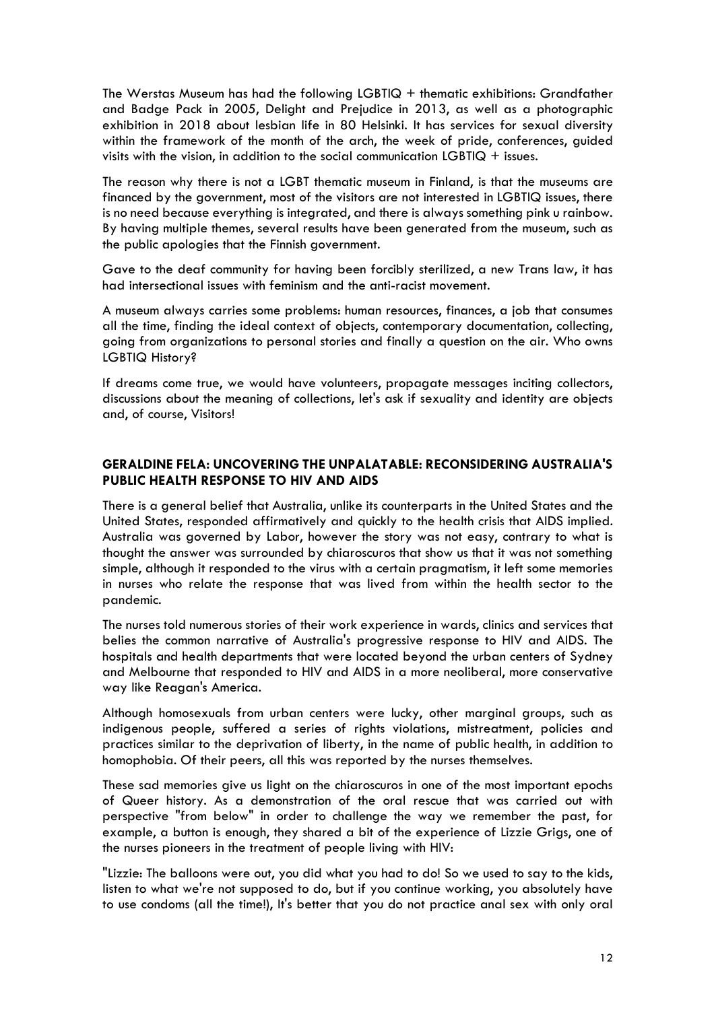The Werstas Museum has had the following LGBTIQ + thematic exhibitions: Grandfather and Badge Pack in 2005, Delight and Prejudice in 2013, as well as a photographic exhibition in 2018 about lesbian life in 80 Helsinki. It has services for sexual diversity within the framework of the month of the arch, the week of pride, conferences, guided visits with the vision, in addition to the social communication  $LGBTIQ + issues$ .

The reason why there is not a LGBT thematic museum in Finland, is that the museums are financed by the government, most of the visitors are not interested in LGBTIQ issues, there is no need because everything is integrated, and there is always something pink u rainbow. By having multiple themes, several results have been generated from the museum, such as the public apologies that the Finnish government.

Gave to the deaf community for having been forcibly sterilized, a new Trans law, it has had intersectional issues with feminism and the anti-racist movement.

A museum always carries some problems: human resources, finances, a job that consumes all the time, finding the ideal context of objects, contemporary documentation, collecting, going from organizations to personal stories and finally a question on the air. Who owns LGBTIQ History?

If dreams come true, we would have volunteers, propagate messages inciting collectors, discussions about the meaning of collections, let's ask if sexuality and identity are objects and, of course, Visitors!

# **GERALDINE FELA: UNCOVERING THE UNPALATABLE: RECONSIDERING AUSTRALIA'S PUBLIC HEALTH RESPONSE TO HIV AND AIDS**

There is a general belief that Australia, unlike its counterparts in the United States and the United States, responded affirmatively and quickly to the health crisis that AIDS implied. Australia was governed by Labor, however the story was not easy, contrary to what is thought the answer was surrounded by chiaroscuros that show us that it was not something simple, although it responded to the virus with a certain pragmatism, it left some memories in nurses who relate the response that was lived from within the health sector to the pandemic.

The nurses told numerous stories of their work experience in wards, clinics and services that belies the common narrative of Australia's progressive response to HIV and AIDS. The hospitals and health departments that were located beyond the urban centers of Sydney and Melbourne that responded to HIV and AIDS in a more neoliberal, more conservative way like Reagan's America.

Although homosexuals from urban centers were lucky, other marginal groups, such as indigenous people, suffered a series of rights violations, mistreatment, policies and practices similar to the deprivation of liberty, in the name of public health, in addition to homophobia. Of their peers, all this was reported by the nurses themselves.

These sad memories give us light on the chiaroscuros in one of the most important epochs of Queer history. As a demonstration of the oral rescue that was carried out with perspective "from below" in order to challenge the way we remember the past, for example, a button is enough, they shared a bit of the experience of Lizzie Grigs, one of the nurses pioneers in the treatment of people living with HIV:

"Lizzie: The balloons were out, you did what you had to do! So we used to say to the kids, listen to what we're not supposed to do, but if you continue working, you absolutely have to use condoms (all the time!), It's better that you do not practice anal sex with only oral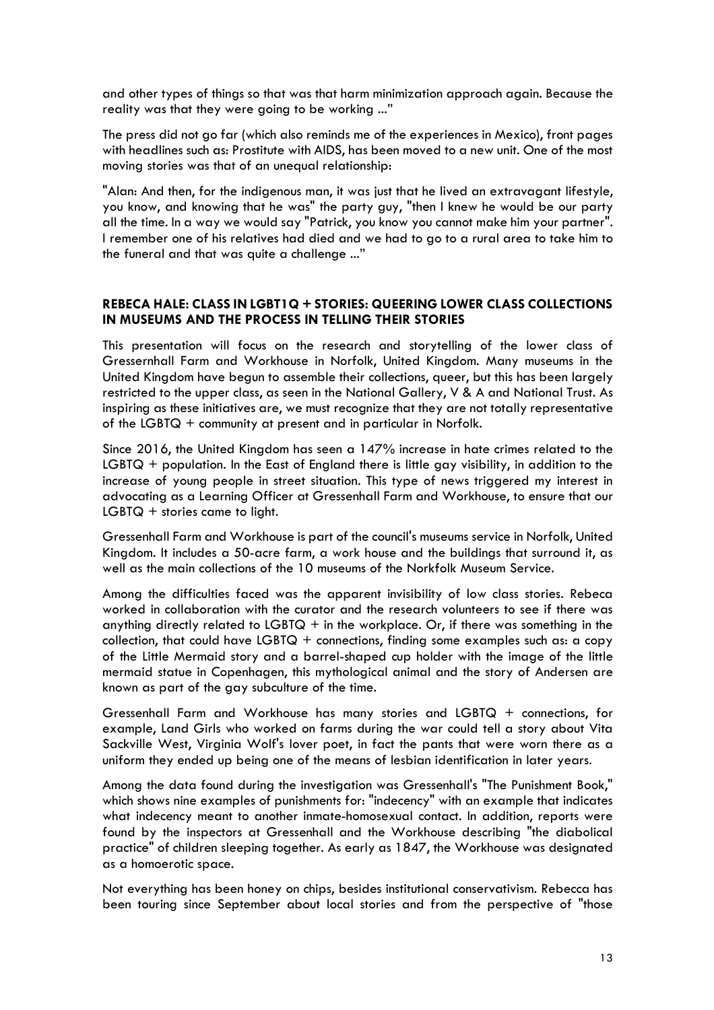and other types of things so that was that harm minimization approach again. Because the reality was that they were going to be working ..."

The press did not go far (which also reminds me of the experiences in Mexico), front pages with headlines such as: Prostitute with AIDS, has been moved to a new unit. One of the most moving stories was that of an unequal relationship:

"Alan: And then, for the indigenous man, it was just that he lived an extravagant lifestyle, you know, and knowing that he was" the party guy, "then I knew he would be our party all the time. In a way we would say "Patrick, you know you cannot make him your partner". I remember one of his relatives had died and we had to go to a rural area to take him to the funeral and that was quite a challenge ..."

# **REBECA HALE: CLASS IN LGBT1Q + STORIES: QUEERING LOWER CLASS COLLECTIONS IN MUSEUMS AND THE PROCESS IN TELLING THEIR STORIES**

This presentation will focus on the research and storytelling of the lower class of Gressernhall Farm and Workhouse in Norfolk, United Kingdom. Many museums in the United Kingdom have begun to assemble their collections, queer, but this has been largely restricted to the upper class, as seen in the National Gallery, V & A and National Trust. As inspiring as these initiatives are, we must recognize that they are not totally representative of the LGBTQ + community at present and in particular in Norfolk.

Since 2016, the United Kingdom has seen a 147% increase in hate crimes related to the LGBTQ + population. In the East of England there is little gay visibility, in addition to the increase of young people in street situation. This type of news triggered my interest in advocating as a Learning Officer at Gressenhall Farm and Workhouse, to ensure that our LGBTQ + stories came to light.

Gressenhall Farm and Workhouse is part of the council's museums service in Norfolk, United Kingdom. It includes a 50-acre farm, a work house and the buildings that surround it, as well as the main collections of the 10 museums of the Norkfolk Museum Service.

Among the difficulties faced was the apparent invisibility of low class stories. Rebeca worked in collaboration with the curator and the research volunteers to see if there was anything directly related to LGBT $Q +$  in the workplace. Or, if there was something in the collection, that could have LGBTQ + connections, finding some examples such as: a copy of the Little Mermaid story and a barrel-shaped cup holder with the image of the little mermaid statue in Copenhagen, this mythological animal and the story of Andersen are known as part of the gay subculture of the time.

Gressenhall Farm and Workhouse has many stories and LGBTQ + connections, for example, Land Girls who worked on farms during the war could tell a story about Vita Sackville West, Virginia Wolf's lover poet, in fact the pants that were worn there as a uniform they ended up being one of the means of lesbian identification in later years.

Among the data found during the investigation was Gressenhall's "The Punishment Book," which shows nine examples of punishments for: "indecency" with an example that indicates what indecency meant to another inmate-homosexual contact. In addition, reports were found by the inspectors at Gressenhall and the Workhouse describing "the diabolical practice" of children sleeping together. As early as 1847, the Workhouse was designated as a homoerotic space.

Not everything has been honey on chips, besides institutional conservativism. Rebecca has been touring since September about local stories and from the perspective of "those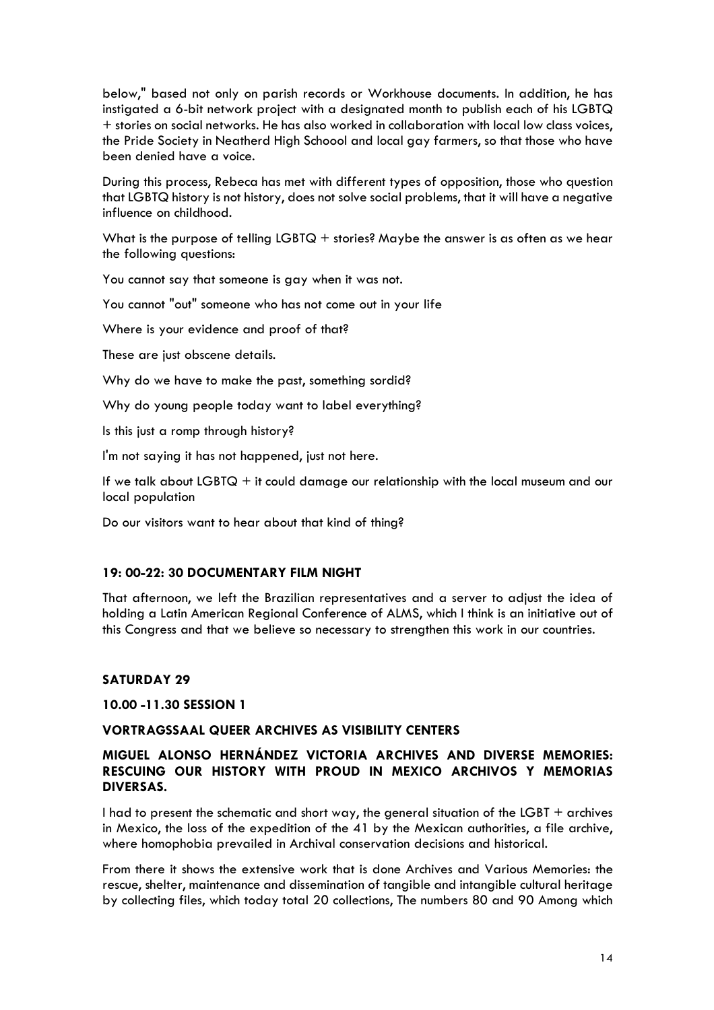below," based not only on parish records or Workhouse documents. In addition, he has instigated a 6-bit network project with a designated month to publish each of his LGBTQ + stories on social networks. He has also worked in collaboration with local low class voices, the Pride Society in Neatherd High Schoool and local gay farmers, so that those who have been denied have a voice.

During this process, Rebeca has met with different types of opposition, those who question that LGBTQ history is not history, does not solve social problems, that it will have a negative influence on childhood.

What is the purpose of telling LGBTQ + stories? Maybe the answer is as often as we hear the following questions:

You cannot say that someone is gay when it was not.

You cannot "out" someone who has not come out in your life

Where is your evidence and proof of that?

These are just obscene details.

Why do we have to make the past, something sordid?

Why do young people today want to label everything?

Is this just a romp through history?

I'm not saying it has not happened, just not here.

If we talk about LGBTQ + it could damage our relationship with the local museum and our local population

Do our visitors want to hear about that kind of thing?

#### **19: 00-22: 30 DOCUMENTARY FILM NIGHT**

That afternoon, we left the Brazilian representatives and a server to adjust the idea of holding a Latin American Regional Conference of ALMS, which I think is an initiative out of this Congress and that we believe so necessary to strengthen this work in our countries.

### **SATURDAY 29**

**10.00 -11.30 SESSION 1**

#### **VORTRAGSSAAL QUEER ARCHIVES AS VISIBILITY CENTERS**

# **MIGUEL ALONSO HERNÁNDEZ VICTORIA ARCHIVES AND DIVERSE MEMORIES: RESCUING OUR HISTORY WITH PROUD IN MEXICO ARCHIVOS Y MEMORIAS DIVERSAS.**

I had to present the schematic and short way, the general situation of the LGBT + archives in Mexico, the loss of the expedition of the 41 by the Mexican authorities, a file archive, where homophobia prevailed in Archival conservation decisions and historical.

From there it shows the extensive work that is done Archives and Various Memories: the rescue, shelter, maintenance and dissemination of tangible and intangible cultural heritage by collecting files, which today total 20 collections, The numbers 80 and 90 Among which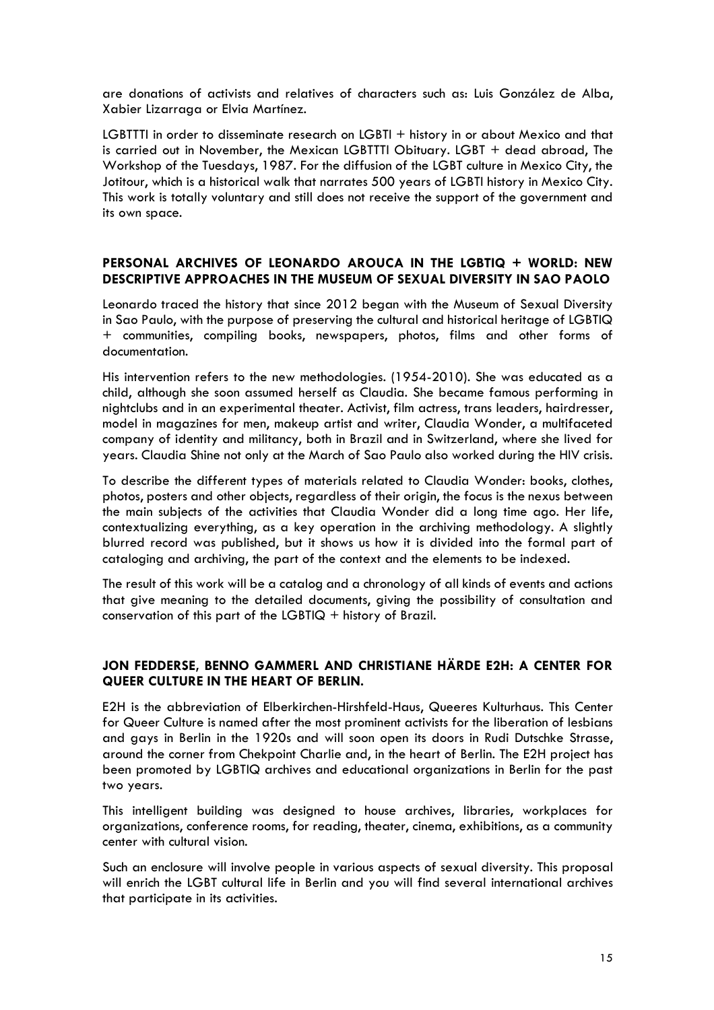are donations of activists and relatives of characters such as: Luis González de Alba, Xabier Lizarraga or Elvia Martínez.

LGBTTTI in order to disseminate research on LGBTI + history in or about Mexico and that is carried out in November, the Mexican LGBTTTI Obituary. LGBT + dead abroad, The Workshop of the Tuesdays, 1987. For the diffusion of the LGBT culture in Mexico City, the Jotitour, which is a historical walk that narrates 500 years of LGBTI history in Mexico City. This work is totally voluntary and still does not receive the support of the government and its own space.

## **PERSONAL ARCHIVES OF LEONARDO AROUCA IN THE LGBTIQ + WORLD: NEW DESCRIPTIVE APPROACHES IN THE MUSEUM OF SEXUAL DIVERSITY IN SAO PAOLO**

Leonardo traced the history that since 2012 began with the Museum of Sexual Diversity in Sao Paulo, with the purpose of preserving the cultural and historical heritage of LGBTIQ + communities, compiling books, newspapers, photos, films and other forms of documentation.

His intervention refers to the new methodologies. (1954-2010). She was educated as a child, although she soon assumed herself as Claudia. She became famous performing in nightclubs and in an experimental theater. Activist, film actress, trans leaders, hairdresser, model in magazines for men, makeup artist and writer, Claudia Wonder, a multifaceted company of identity and militancy, both in Brazil and in Switzerland, where she lived for years. Claudia Shine not only at the March of Sao Paulo also worked during the HIV crisis.

To describe the different types of materials related to Claudia Wonder: books, clothes, photos, posters and other objects, regardless of their origin, the focus is the nexus between the main subjects of the activities that Claudia Wonder did a long time ago. Her life, contextualizing everything, as a key operation in the archiving methodology. A slightly blurred record was published, but it shows us how it is divided into the formal part of cataloging and archiving, the part of the context and the elements to be indexed.

The result of this work will be a catalog and a chronology of all kinds of events and actions that give meaning to the detailed documents, giving the possibility of consultation and conservation of this part of the LGBTIQ  $+$  history of Brazil.

# **JON FEDDERSE, BENNO GAMMERL AND CHRISTIANE HÄRDE E2H: A CENTER FOR QUEER CULTURE IN THE HEART OF BERLIN.**

E2H is the abbreviation of Elberkirchen-Hirshfeld-Haus, Queeres Kulturhaus. This Center for Queer Culture is named after the most prominent activists for the liberation of lesbians and gays in Berlin in the 1920s and will soon open its doors in Rudi Dutschke Strasse, around the corner from Chekpoint Charlie and, in the heart of Berlin. The E2H project has been promoted by LGBTIQ archives and educational organizations in Berlin for the past two years.

This intelligent building was designed to house archives, libraries, workplaces for organizations, conference rooms, for reading, theater, cinema, exhibitions, as a community center with cultural vision.

Such an enclosure will involve people in various aspects of sexual diversity. This proposal will enrich the LGBT cultural life in Berlin and you will find several international archives that participate in its activities.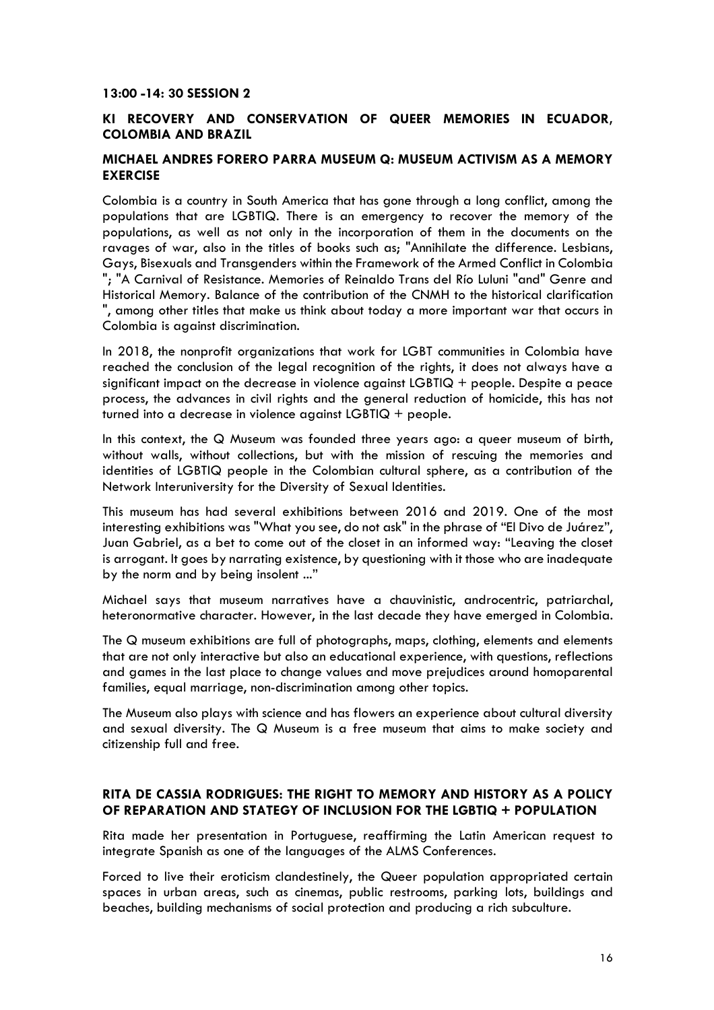### **13:00 -14: 30 SESSION 2**

### **KI RECOVERY AND CONSERVATION OF QUEER MEMORIES IN ECUADOR, COLOMBIA AND BRAZIL**

### **MICHAEL ANDRES FORERO PARRA MUSEUM Q: MUSEUM ACTIVISM AS A MEMORY EXERCISE**

Colombia is a country in South America that has gone through a long conflict, among the populations that are LGBTIQ. There is an emergency to recover the memory of the populations, as well as not only in the incorporation of them in the documents on the ravages of war, also in the titles of books such as; "Annihilate the difference. Lesbians, Gays, Bisexuals and Transgenders within the Framework of the Armed Conflict in Colombia "; "A Carnival of Resistance. Memories of Reinaldo Trans del Río Luluni "and" Genre and Historical Memory. Balance of the contribution of the CNMH to the historical clarification ", among other titles that make us think about today a more important war that occurs in Colombia is against discrimination.

In 2018, the nonprofit organizations that work for LGBT communities in Colombia have reached the conclusion of the legal recognition of the rights, it does not always have a significant impact on the decrease in violence against  $LGB TIQ + people$ . Despite a peace process, the advances in civil rights and the general reduction of homicide, this has not turned into a decrease in violence against LGBTIQ + people.

In this context, the Q Museum was founded three years ago: a queer museum of birth, without walls, without collections, but with the mission of rescuing the memories and identities of LGBTIQ people in the Colombian cultural sphere, as a contribution of the Network Interuniversity for the Diversity of Sexual Identities.

This museum has had several exhibitions between 2016 and 2019. One of the most interesting exhibitions was "What you see, do not ask" in the phrase of "El Divo de Juárez", Juan Gabriel, as a bet to come out of the closet in an informed way: "Leaving the closet is arrogant. It goes by narrating existence, by questioning with it those who are inadequate by the norm and by being insolent ..."

Michael says that museum narratives have a chauvinistic, androcentric, patriarchal, heteronormative character. However, in the last decade they have emerged in Colombia.

The Q museum exhibitions are full of photographs, maps, clothing, elements and elements that are not only interactive but also an educational experience, with questions, reflections and games in the last place to change values and move prejudices around homoparental families, equal marriage, non-discrimination among other topics.

The Museum also plays with science and has flowers an experience about cultural diversity and sexual diversity. The Q Museum is a free museum that aims to make society and citizenship full and free.

## **RITA DE CASSIA RODRIGUES: THE RIGHT TO MEMORY AND HISTORY AS A POLICY OF REPARATION AND STATEGY OF INCLUSION FOR THE LGBTIQ + POPULATION**

Rita made her presentation in Portuguese, reaffirming the Latin American request to integrate Spanish as one of the languages of the ALMS Conferences.

Forced to live their eroticism clandestinely, the Queer population appropriated certain spaces in urban areas, such as cinemas, public restrooms, parking lots, buildings and beaches, building mechanisms of social protection and producing a rich subculture.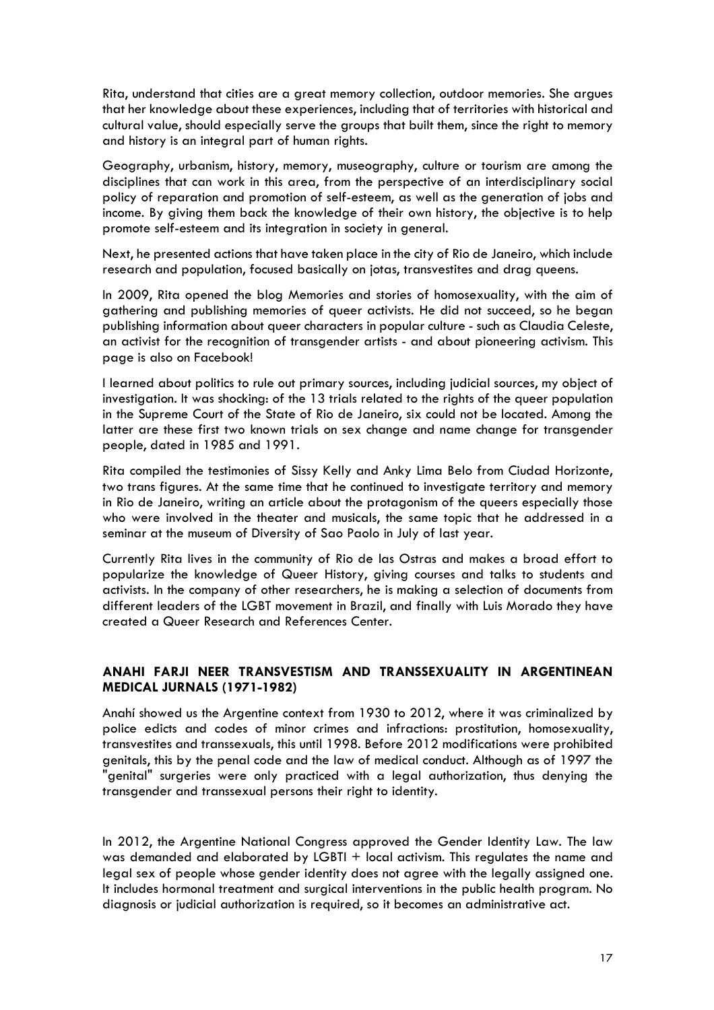Rita, understand that cities are a great memory collection, outdoor memories. She argues that her knowledge about these experiences, including that of territories with historical and cultural value, should especially serve the groups that built them, since the right to memory and history is an integral part of human rights.

Geography, urbanism, history, memory, museography, culture or tourism are among the disciplines that can work in this area, from the perspective of an interdisciplinary social policy of reparation and promotion of self-esteem, as well as the generation of jobs and income. By giving them back the knowledge of their own history, the objective is to help promote self-esteem and its integration in society in general.

Next, he presented actions that have taken place in the city of Rio de Janeiro, which include research and population, focused basically on jotas, transvestites and drag queens.

In 2009, Rita opened the blog Memories and stories of homosexuality, with the aim of gathering and publishing memories of queer activists. He did not succeed, so he began publishing information about queer characters in popular culture - such as Claudia Celeste, an activist for the recognition of transgender artists - and about pioneering activism. This page is also on Facebook!

I learned about politics to rule out primary sources, including judicial sources, my object of investigation. It was shocking: of the 13 trials related to the rights of the queer population in the Supreme Court of the State of Rio de Janeiro, six could not be located. Among the latter are these first two known trials on sex change and name change for transgender people, dated in 1985 and 1991.

Rita compiled the testimonies of Sissy Kelly and Anky Lima Belo from Ciudad Horizonte, two trans figures. At the same time that he continued to investigate territory and memory in Rio de Janeiro, writing an article about the protagonism of the queers especially those who were involved in the theater and musicals, the same topic that he addressed in a seminar at the museum of Diversity of Sao Paolo in July of last year.

Currently Rita lives in the community of Rio de las Ostras and makes a broad effort to popularize the knowledge of Queer History, giving courses and talks to students and activists. In the company of other researchers, he is making a selection of documents from different leaders of the LGBT movement in Brazil, and finally with Luis Morado they have created a Queer Research and References Center.

# **ANAHI FARJI NEER TRANSVESTISM AND TRANSSEXUALITY IN ARGENTINEAN MEDICAL JURNALS (1971-1982)**

Anahí showed us the Argentine context from 1930 to 2012, where it was criminalized by police edicts and codes of minor crimes and infractions: prostitution, homosexuality, transvestites and transsexuals, this until 1998. Before 2012 modifications were prohibited genitals, this by the penal code and the law of medical conduct. Although as of 1997 the "genital" surgeries were only practiced with a legal authorization, thus denying the transgender and transsexual persons their right to identity.

In 2012, the Argentine National Congress approved the Gender Identity Law. The law was demanded and elaborated by LGBTI + local activism. This regulates the name and legal sex of people whose gender identity does not agree with the legally assigned one. It includes hormonal treatment and surgical interventions in the public health program. No diagnosis or judicial authorization is required, so it becomes an administrative act.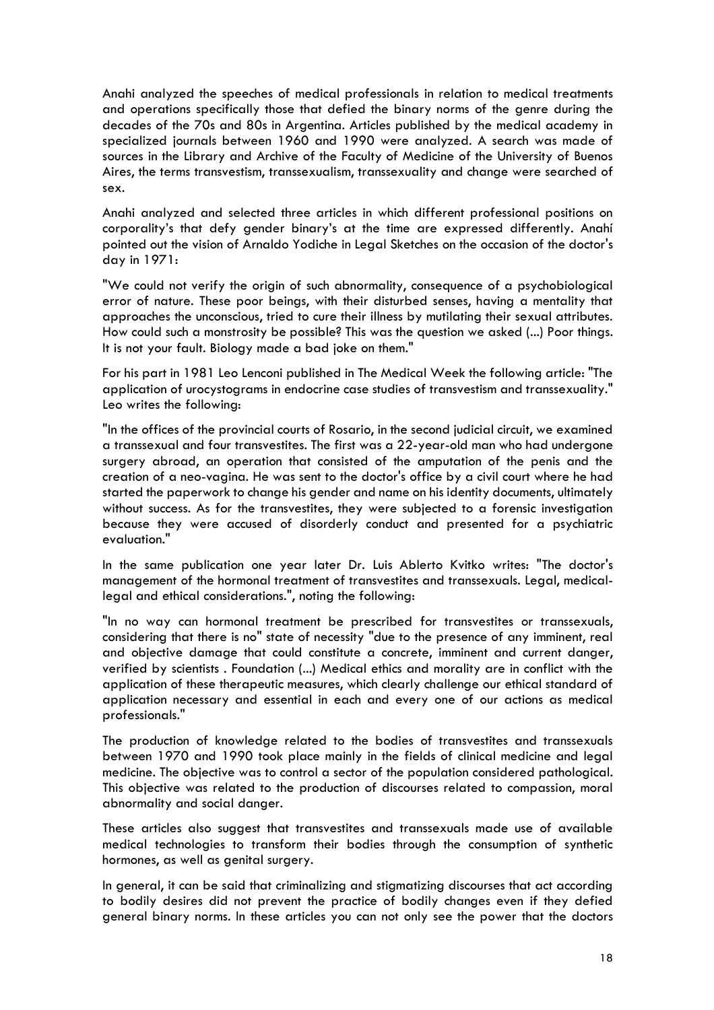Anahi analyzed the speeches of medical professionals in relation to medical treatments and operations specifically those that defied the binary norms of the genre during the decades of the 70s and 80s in Argentina. Articles published by the medical academy in specialized journals between 1960 and 1990 were analyzed. A search was made of sources in the Library and Archive of the Faculty of Medicine of the University of Buenos Aires, the terms transvestism, transsexualism, transsexuality and change were searched of sex.

Anahi analyzed and selected three articles in which different professional positions on corporality's that defy gender binary's at the time are expressed differently. Anahí pointed out the vision of Arnaldo Yodiche in Legal Sketches on the occasion of the doctor's day in 1971:

"We could not verify the origin of such abnormality, consequence of a psychobiological error of nature. These poor beings, with their disturbed senses, having a mentality that approaches the unconscious, tried to cure their illness by mutilating their sexual attributes. How could such a monstrosity be possible? This was the question we asked (...) Poor things. It is not your fault. Biology made a bad joke on them."

For his part in 1981 Leo Lenconi published in The Medical Week the following article: "The application of urocystograms in endocrine case studies of transvestism and transsexuality." Leo writes the following:

"In the offices of the provincial courts of Rosario, in the second judicial circuit, we examined a transsexual and four transvestites. The first was a 22-year-old man who had undergone surgery abroad, an operation that consisted of the amputation of the penis and the creation of a neo-vagina. He was sent to the doctor's office by a civil court where he had started the paperwork to change his gender and name on his identity documents, ultimately without success. As for the transvestites, they were subjected to a forensic investigation because they were accused of disorderly conduct and presented for a psychiatric evaluation."

In the same publication one year later Dr. Luis Ablerto Kvitko writes: "The doctor's management of the hormonal treatment of transvestites and transsexuals. Legal, medicallegal and ethical considerations.", noting the following:

"In no way can hormonal treatment be prescribed for transvestites or transsexuals, considering that there is no" state of necessity "due to the presence of any imminent, real and objective damage that could constitute a concrete, imminent and current danger, verified by scientists . Foundation (...) Medical ethics and morality are in conflict with the application of these therapeutic measures, which clearly challenge our ethical standard of application necessary and essential in each and every one of our actions as medical professionals."

The production of knowledge related to the bodies of transvestites and transsexuals between 1970 and 1990 took place mainly in the fields of clinical medicine and legal medicine. The objective was to control a sector of the population considered pathological. This objective was related to the production of discourses related to compassion, moral abnormality and social danger.

These articles also suggest that transvestites and transsexuals made use of available medical technologies to transform their bodies through the consumption of synthetic hormones, as well as genital surgery.

In general, it can be said that criminalizing and stigmatizing discourses that act according to bodily desires did not prevent the practice of bodily changes even if they defied general binary norms. In these articles you can not only see the power that the doctors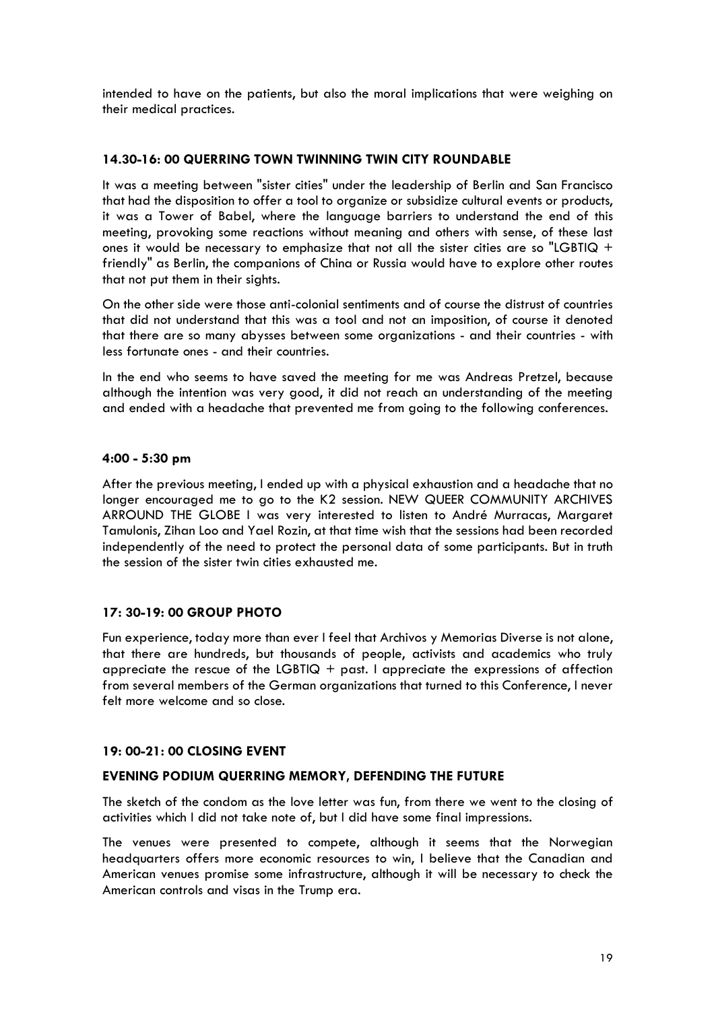intended to have on the patients, but also the moral implications that were weighing on their medical practices.

## **14.30-16: 00 QUERRING TOWN TWINNING TWIN CITY ROUNDABLE**

It was a meeting between "sister cities" under the leadership of Berlin and San Francisco that had the disposition to offer a tool to organize or subsidize cultural events or products, it was a Tower of Babel, where the language barriers to understand the end of this meeting, provoking some reactions without meaning and others with sense, of these last ones it would be necessary to emphasize that not all the sister cities are so "LGBTIQ  $+$ friendly" as Berlin, the companions of China or Russia would have to explore other routes that not put them in their sights.

On the other side were those anti-colonial sentiments and of course the distrust of countries that did not understand that this was a tool and not an imposition, of course it denoted that there are so many abysses between some organizations - and their countries - with less fortunate ones - and their countries.

In the end who seems to have saved the meeting for me was Andreas Pretzel, because although the intention was very good, it did not reach an understanding of the meeting and ended with a headache that prevented me from going to the following conferences.

## **4:00 - 5:30 pm**

After the previous meeting, I ended up with a physical exhaustion and a headache that no longer encouraged me to go to the K2 session. NEW QUEER COMMUNITY ARCHIVES ARROUND THE GLOBE I was very interested to listen to André Murracas, Margaret Tamulonis, Zihan Loo and Yael Rozin, at that time wish that the sessions had been recorded independently of the need to protect the personal data of some participants. But in truth the session of the sister twin cities exhausted me.

# **17: 30-19: 00 GROUP PHOTO**

Fun experience, today more than ever I feel that Archivos y Memorias Diverse is not alone, that there are hundreds, but thousands of people, activists and academics who truly appreciate the rescue of the LGBTIQ  $+$  past. I appreciate the expressions of affection from several members of the German organizations that turned to this Conference, I never felt more welcome and so close.

# **19: 00-21: 00 CLOSING EVENT**

# **EVENING PODIUM QUERRING MEMORY, DEFENDING THE FUTURE**

The sketch of the condom as the love letter was fun, from there we went to the closing of activities which I did not take note of, but I did have some final impressions.

The venues were presented to compete, although it seems that the Norwegian headquarters offers more economic resources to win, I believe that the Canadian and American venues promise some infrastructure, although it will be necessary to check the American controls and visas in the Trump era.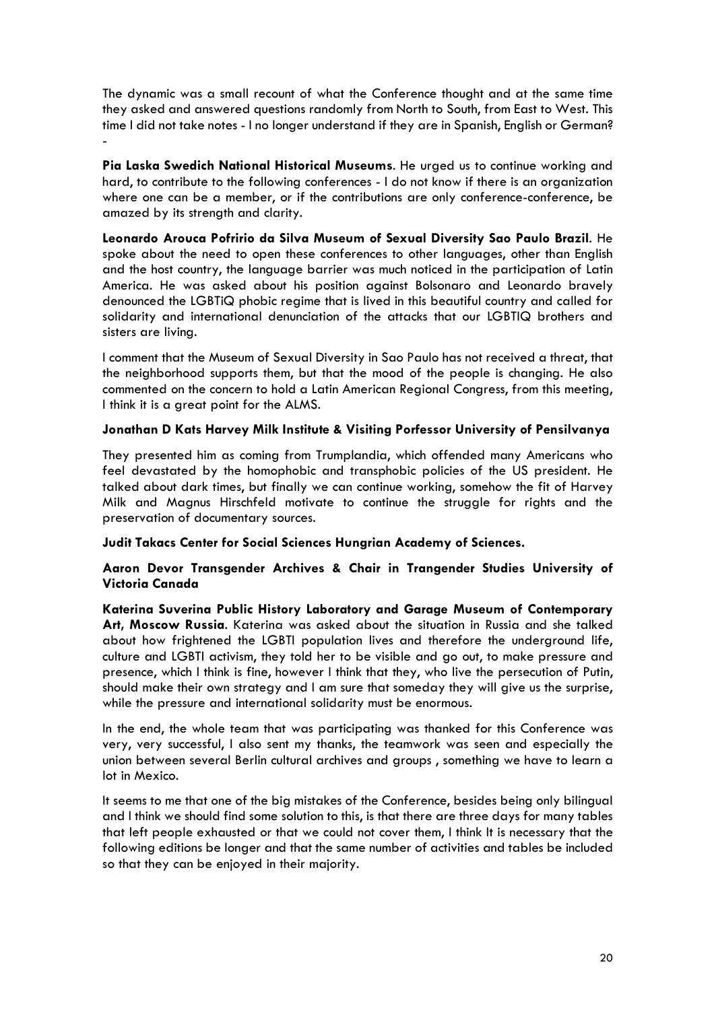The dynamic was a small recount of what the Conference thought and at the same time they asked and answered questions randomly from North to South, from East to West. This time I did not take notes - I no longer understand if they are in Spanish, English or German? -

**Pia Laska Swedich National Historical Museums**. He urged us to continue working and hard, to contribute to the following conferences - I do not know if there is an organization where one can be a member, or if the contributions are only conference-conference, be amazed by its strength and clarity.

**Leonardo Arouca Pofririo da Silva Museum of Sexual Diversity Sao Paulo Brazil**. He spoke about the need to open these conferences to other languages, other than English and the host country, the language barrier was much noticed in the participation of Latin America. He was asked about his position against Bolsonaro and Leonardo bravely denounced the LGBTiQ phobic regime that is lived in this beautiful country and called for solidarity and international denunciation of the attacks that our LGBTIQ brothers and sisters are living.

I comment that the Museum of Sexual Diversity in Sao Paulo has not received a threat, that the neighborhood supports them, but that the mood of the people is changing. He also commented on the concern to hold a Latin American Regional Congress, from this meeting, I think it is a great point for the ALMS.

# **Jonathan D Kats Harvey Milk Institute & Visiting Porfessor University of Pensilvanya**

They presented him as coming from Trumplandia, which offended many Americans who feel devastated by the homophobic and transphobic policies of the US president. He talked about dark times, but finally we can continue working, somehow the fit of Harvey Milk and Magnus Hirschfeld motivate to continue the struggle for rights and the preservation of documentary sources.

**Judit Takacs Center for Social Sciences Hungrian Academy of Sciences.**

# **Aaron Devor Transgender Archives & Chair in Trangender Studies University of Victoria Canada**

**Katerina Suverina Public History Laboratory and Garage Museum of Contemporary Art, Moscow Russia**. Katerina was asked about the situation in Russia and she talked about how frightened the LGBTI population lives and therefore the underground life, culture and LGBTI activism, they told her to be visible and go out, to make pressure and presence, which I think is fine, however I think that they, who live the persecution of Putin, should make their own strategy and I am sure that someday they will give us the surprise, while the pressure and international solidarity must be enormous.

In the end, the whole team that was participating was thanked for this Conference was very, very successful, I also sent my thanks, the teamwork was seen and especially the union between several Berlin cultural archives and groups , something we have to learn a lot in Mexico.

It seems to me that one of the big mistakes of the Conference, besides being only bilingual and I think we should find some solution to this, is that there are three days for many tables that left people exhausted or that we could not cover them, I think It is necessary that the following editions be longer and that the same number of activities and tables be included so that they can be enjoyed in their majority.